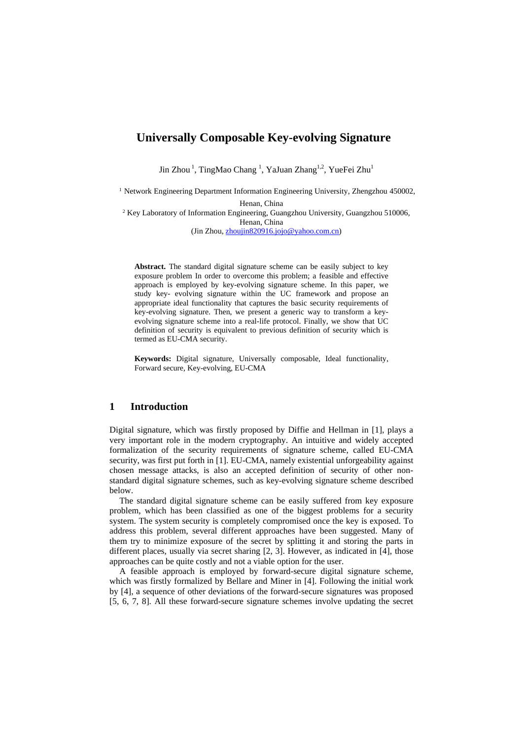# **Universally Composable Key-evolving Signature**

Jin Zhou<sup>1</sup>, TingMao Chang<sup>1</sup>, YaJuan Zhang<sup>1,2</sup>, YueFei Zhu<sup>1</sup>

<sup>1</sup> Network Engineering Department Information Engineering University, Zhengzhou 450002, Henan, China

<sup>2</sup> Key Laboratory of Information Engineering, Guangzhou University, Guangzhou 510006, Henan, China (Jin Zhou, [zhoujin820916.jojo@yahoo.com.cn\)](http://compose.mail.yahoo.com/?To=zhoujin820916.jojo%40yahoo.com.cn)

**Abstract.** The standard digital signature scheme can be easily subject to key exposure problem In order to overcome this problem; a feasible and effective approach is employed by key-evolving signature scheme. In this paper, we study key- evolving signature within the UC framework and propose an appropriate ideal functionality that captures the basic security requirements of key-evolving signature. Then, we present a generic way to transform a keyevolving signature scheme into a real-life protocol. Finally, we show that UC definition of security is equivalent to previous definition of security which is termed as EU-CMA security.

**Keywords:** Digital signature, Universally composable, Ideal functionality, Forward secure, Key-evolving, EU-CMA

## **1 Introduction**

Digital signature, which was firstly proposed by Diffie and Hellman in [1], plays a very important role in the modern cryptography. An intuitive and widely accepted formalization of the security requirements of signature scheme, called EU-CMA security, was first put forth in [1]. EU-CMA, namely existential unforgeability against chosen message attacks, is also an accepted definition of security of other nonstandard digital signature schemes, such as key-evolving signature scheme described below.

The standard digital signature scheme can be easily suffered from key exposure problem, which has been classified as one of the biggest problems for a security system. The system security is completely compromised once the key is exposed. To address this problem, several different approaches have been suggested. Many of them try to minimize exposure of the secret by splitting it and storing the parts in different places, usually via secret sharing [2, 3]. However, as indicated in [4], those approaches can be quite costly and not a viable option for the user.

A feasible approach is employed by forward-secure digital signature scheme, which was firstly formalized by Bellare and Miner in [4]. Following the initial work by [4], a sequence of other deviations of the forward-secure signatures was proposed [5, 6, 7, 8]. All these forward-secure signature schemes involve updating the secret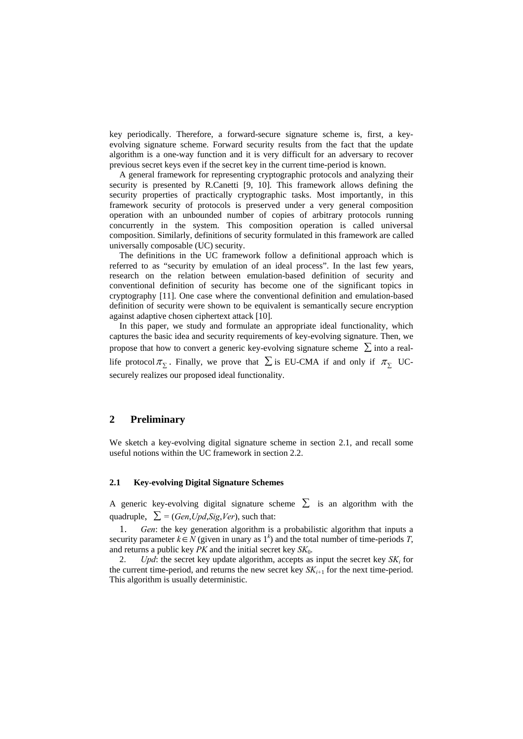key periodically. Therefore, a forward-secure signature scheme is, first, a keyevolving signature scheme. Forward security results from the fact that the update algorithm is a one-way function and it is very difficult for an adversary to recover previous secret keys even if the secret key in the current time-period is known.

A general framework for representing cryptographic protocols and analyzing their security is presented by R.Canetti [9, 10]. This framework allows defining the security properties of practically cryptographic tasks. Most importantly, in this framework security of protocols is preserved under a very general composition operation with an unbounded number of copies of arbitrary protocols running concurrently in the system. This composition operation is called universal composition. Similarly, definitions of security formulated in this framework are called universally composable (UC) security.

The definitions in the UC framework follow a definitional approach which is referred to as "security by emulation of an ideal process". In the last few years, research on the relation between emulation-based definition of security and conventional definition of security has become one of the significant topics in cryptography [11]. One case where the conventional definition and emulation-based definition of security were shown to be equivalent is semantically secure encryption against adaptive chosen ciphertext attack [10].

In this paper, we study and formulate an appropriate ideal functionality, which captures the basic idea and security requirements of key-evolving signature. Then, we propose that how to convert a generic key-evolving signature scheme  $\sum$  into a reallife protocol  $\pi_{\Sigma}$ . Finally, we prove that  $\Sigma$  is EU-CMA if and only if  $\pi_{\Sigma}$  UCsecurely realizes our proposed ideal functionality.

## **2 Preliminary**

We sketch a key-evolving digital signature scheme in section 2.1, and recall some useful notions within the UC framework in section 2.2.

#### **2.1 Key-evolving Digital Signature Schemes**

A generic key-evolving digital signature scheme  $\Sigma$  is an algorithm with the quadruple,  $\sum$  = (*Gen,Upd,Sig,Ver*), such that:

1. *Gen*: the key generation algorithm is a probabilistic algorithm that inputs a security parameter  $k \in N$  (given in unary as  $1<sup>k</sup>$ ) and the total number of time-periods *T*, and returns a public key *PK* and the initial secret key *SK*0.

2. *Upd*: the secret key update algorithm, accepts as input the secret key *SK<sub>i</sub>* for the current time-period, and returns the new secret key  $SK_{i+1}$  for the next time-period. This algorithm is usually deterministic.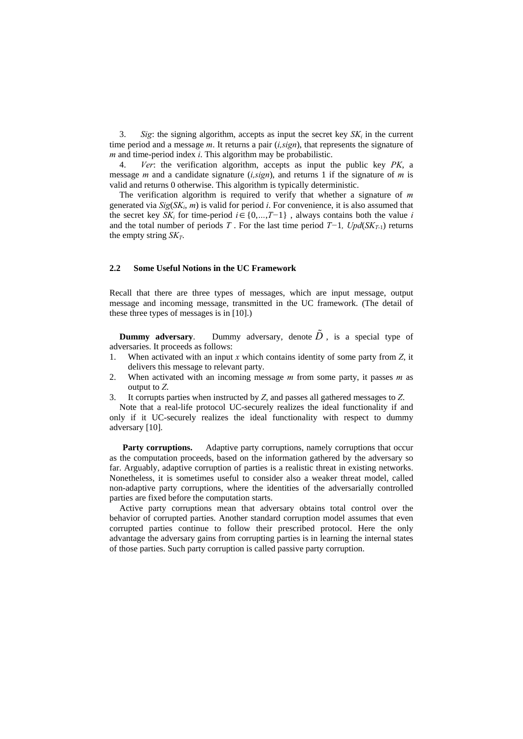3. *Sig*: the signing algorithm, accepts as input the secret key  $SK_i$  in the current time period and a message *m*. It returns a pair (*i,sign*), that represents the signature of *m* and time-period index *i*. This algorithm may be probabilistic.

4. *Ver*: the verification algorithm, accepts as input the public key *PK*, a message *m* and a candidate signature (*i,sign*), and returns 1 if the signature of *m* is valid and returns 0 otherwise. This algorithm is typically deterministic.

The verification algorithm is required to verify that whether a signature of *m* generated via  $Sig(SK<sub>i</sub>, m)$  is valid for period *i*. For convenience, it is also assumed that the secret key  $\overline{SK_i}$  for time-period  $i \in \{0, ..., T-1\}$ , always contains both the value *i* and the total number of periods *T* . For the last time period *T−*1*, Upd*(*SKT-*1) returns the empty string  $SK_T$ .

#### **2.2 Some Useful Notions in the UC Framework**

Recall that there are three types of messages, which are input message, output message and incoming message, transmitted in the UC framework. (The detail of these three types of messages is in [10].)

**Dummy adversary.** Dummy adversary, denote  $\tilde{D}$ , is a special type of adversaries. It proceeds as follows:

- 1. When activated with an input *x* which contains identity of some party from *Z*, it delivers this message to relevant party.
- 2. When activated with an incoming message *m* from some party, it passes *m* as output to *Z*.
- 3. It corrupts parties when instructed by *Z*, and passes all gathered messages to *Z*.

Note that a real-life protocol UC-securely realizes the ideal functionality if and only if it UC-securely realizes the ideal functionality with respect to dummy adversary [10].

**Party corruptions.** Adaptive party corruptions, namely corruptions that occur as the computation proceeds, based on the information gathered by the adversary so far. Arguably, adaptive corruption of parties is a realistic threat in existing networks. Nonetheless, it is sometimes useful to consider also a weaker threat model, called non-adaptive party corruptions, where the identities of the adversarially controlled parties are fixed before the computation starts.

Active party corruptions mean that adversary obtains total control over the behavior of corrupted parties. Another standard corruption model assumes that even corrupted parties continue to follow their prescribed protocol. Here the only advantage the adversary gains from corrupting parties is in learning the internal states of those parties. Such party corruption is called passive party corruption.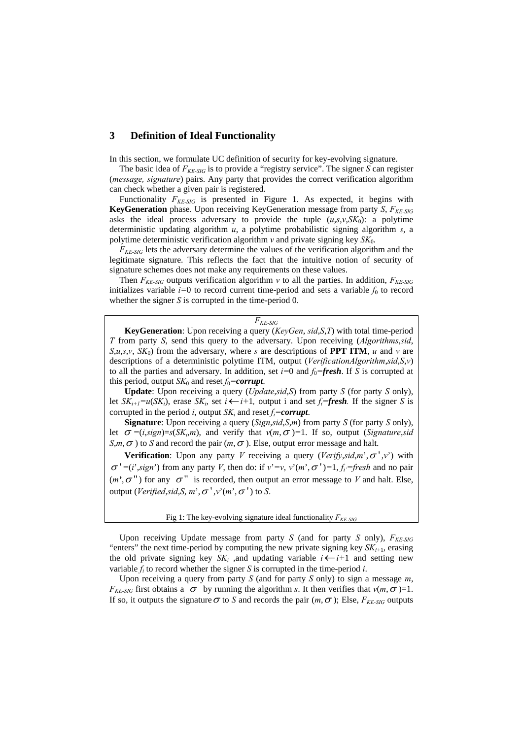## **3 Definition of Ideal Functionality**

In this section, we formulate UC definition of security for key-evolving signature.

The basic idea of *FKE-SIG* is to provide a "registry service". The signer *S* can register (*message, signature*) pairs. Any party that provides the correct verification algorithm can check whether a given pair is registered.

Functionality  $F_{KE-SIG}$  is presented in Figure 1. As expected, it begins with **KeyGeneration** phase. Upon receiving KeyGeneration message from party *S*, *FKE-SIG* asks the ideal process adversary to provide the tuple  $(u,s,v,SK_0)$ : a polytime deterministic updating algorithm *u*, a polytime probabilistic signing algorithm *s*, a polytime deterministic verification algorithm *v* and private signing key *SK*0.

 $F_{KE-SIG}$  lets the adversary determine the values of the verification algorithm and the legitimate signature. This reflects the fact that the intuitive notion of security of signature schemes does not make any requirements on these values.

Then  $F_{KE-SIG}$  outputs verification algorithm *v* to all the parties. In addition,  $F_{KE-SIG}$ initializes variable  $i=0$  to record current time-period and sets a variable  $f_0$  to record whether the signer *S* is corrupted in the time-period 0.

#### *FKE-SIG*

**KeyGeneration**: Upon receiving a query (*KeyGen*, *sid*,*S*,*T*) with total time-period *T* from party *S*, send this query to the adversary. Upon receiving (*Algorithms*,*sid*,  $S, u, s, v, SK_0$  from the adversary, where *s* are descriptions of **PPT ITM**, *u* and *v* are descriptions of a deterministic polytime ITM, output (*VerificationAlgorithm*,*sid*,*S*,*v*) to all the parties and adversary. In addition, set  $i=0$  and  $f_0$ =**fresh**. If *S* is corrupted at this period, output  $SK_0$  and reset  $f_0 =$ *corrupt*.

**Update**: Upon receiving a query (*Update*,*sid*,*S*) from party *S* (for party *S* only), let  $SK_{i+1}=u(SK_i)$ , erase  $SK_i$ , set  $i \leftarrow i+1$ , output i and set  $f_i = \text{fresh}$ . If the signer *S* is corrupted in the period *i*, output  $SK_i$  and reset  $f_i =$ *corrupt*.

**Signature**: Upon receiving a query (*Sign*,*sid*,*S*,*m*) from party *S* (for party *S* only), let  $\sigma = (i, sign) = s(SK_i, m)$ , and verify that  $v(m, \sigma) = 1$ . If so, output (*Signature,sid*  $S,m,\sigma$ ) to *S* and record the pair  $(m,\sigma)$ . Else, output error message and halt.

**Verification**: Upon any party *V* receiving a query (*Verify,sid,m',*  $\sigma'$ *,v'*) with  $\sigma' = (i', j)$  from any party *V*, then do: if  $v' = v$ ,  $v'(m', \sigma') = 1$ ,  $f_i =$ fresh and no pair  $(m', \sigma'')$  for any  $\sigma''$  is recorded, then output an error message to *V* and halt. Else, output (*Verified*,*sid*,*S*,  $m$ ',  $\sigma$ ', $v$ '( $m$ ',  $\sigma$ ') to *S*.

#### Fig 1: The key-evolving signature ideal functionality  $F_{KE, SIG}$

Upon receiving Update message from party *S* (and for party *S* only),  $F_{KE-SIG}$ "enters" the next time-period by computing the new private signing key  $SK_{i+1}$ , erasing the old private signing key  $SK_i$ , and updating variable  $i \leftarrow i+1$  and setting new variable  $f_i$  to record whether the signer  $S$  is corrupted in the time-period  $i$ .

Upon receiving a query from party *S* (and for party *S* only) to sign a message *m*, *F<sub>KE-SIG</sub>* first obtains a  $\sigma$  by running the algorithm *s*. It then verifies that  $v(m, \sigma) = 1$ . If so, it outputs the signature  $\sigma$  to *S* and records the pair  $(m, \sigma)$ ; Else,  $F_{KE-SIG}$  outputs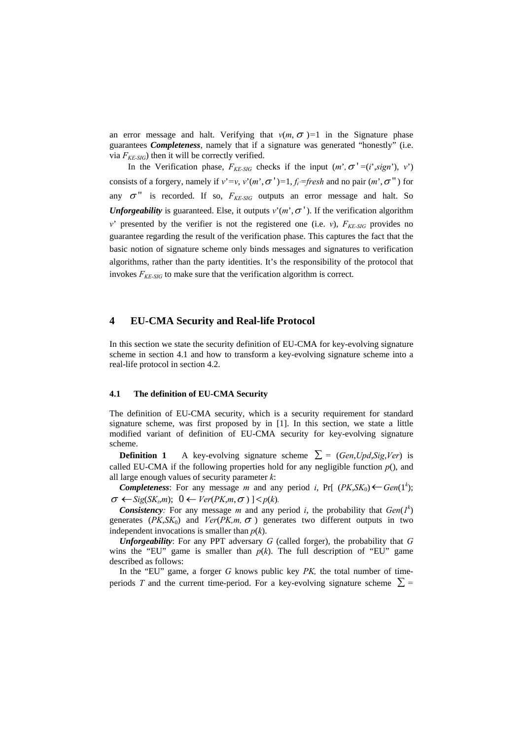an error message and halt. Verifying that  $v(m, \sigma) = 1$  in the Signature phase guarantees *Completeness*, namely that if a signature was generated "honestly" (i.e. via  $F_{KE-SIG}$ ) then it will be correctly verified.

In the Verification phase,  $F_{KE-SIG}$  checks if the input  $(m', \sigma' = (i', sign'), v')$ consists of a forgery, namely if  $v' = v$ ,  $v'(m', \sigma') = 1$ ,  $f_i =$ fresh and no pair  $(m', \sigma'')$  for any  $\sigma$ <sup>"</sup> is recorded. If so,  $F_{KE-SIG}$  outputs an error message and halt. So *Unforgeability* is guaranteed. Else, it outputs  $v'(m', \sigma')$ . If the verification algorithm *v*' presented by the verifier is not the registered one (i.e. *v*),  $F_{KE-SIG}$  provides no guarantee regarding the result of the verification phase. This captures the fact that the basic notion of signature scheme only binds messages and signatures to verification algorithms, rather than the party identities. It's the responsibility of the protocol that invokes  $F_{KE-SIG}$  to make sure that the verification algorithm is correct.

## **4 EU-CMA Security and Real-life Protocol**

In this section we state the security definition of EU-CMA for key-evolving signature scheme in section 4.1 and how to transform a key-evolving signature scheme into a real-life protocol in section 4.2.

#### **4.1 The definition of EU-CMA Security**

The definition of EU-CMA security, which is a security requirement for standard signature scheme, was first proposed by in [1]. In this section, we state a little modified variant of definition of EU-CMA security for key-evolving signature scheme.

**Definition 1** A key-evolving signature scheme  $\sum$  = (*Gen*,*Upd*,*Sig*,*Ver*) is called EU-CMA if the following properties hold for any negligible function  $p()$ , and all large enough values of security parameter *k*:

*Completeness*: For any message *m* and any period *i*, Pr[ ( $PK, SK_0$ )  $\leftarrow$  *Gen*(1<sup>k</sup>);  $\sigma \leftarrow$ *Sig*(*SK<sub>i</sub>*,*m*);  $0 \leftarrow$  *Ver*(*PK*,*m*, $\sigma$ )] < *p*(*k*).

**Consistency**: For any message *m* and any period *i*, the probability that  $Gen(I^k)$ generates ( $PK, SK_0$ ) and  $Ver(PK, m, \sigma)$  generates two different outputs in two independent invocations is smaller than *p*(*k*).

*Unforgeability*: For any PPT adversary *G* (called forger), the probability that *G* wins the "EU" game is smaller than  $p(k)$ . The full description of "EU" game described as follows:

In the "EU" game, a forger *G* knows public key *PK,* the total number of timeperiods *T* and the current time-period. For a key-evolving signature scheme  $\Sigma$  =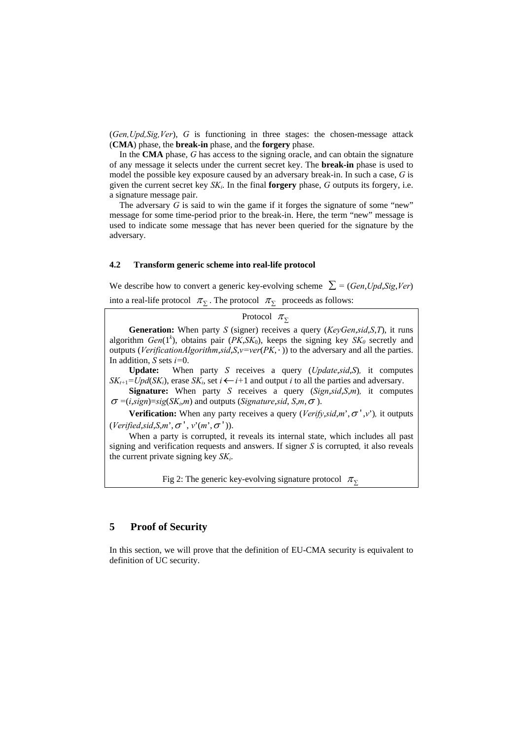(*Gen,Upd,Sig,Ver*), *G* is functioning in three stages: the chosen-message attack (**CMA**) phase, the **break-in** phase, and the **forgery** phase.

In the **CMA** phase, *G* has access to the signing oracle, and can obtain the signature of any message it selects under the current secret key. The **break-in** phase is used to model the possible key exposure caused by an adversary break-in. In such a case, *G* is given the current secret key  $SK_i$ . In the final **forgery** phase, *G* outputs its forgery, i.e. a signature message pair.

The adversary *G* is said to win the game if it forges the signature of some "new" message for some time-period prior to the break-in. Here, the term "new" message is used to indicate some message that has never been queried for the signature by the adversary.

#### **4.2 Transform generic scheme into real-life protocol**

We describe how to convert a generic key-evolving scheme  $\sum$  = (*Gen*,*Upd*,*Sig*,*Ver*) into a real-life protocol  $\pi_{\Sigma}$ . The protocol  $\pi_{\Sigma}$  proceeds as follows:

Protocol  $\pi_{\Sigma}$ **Generation:** When party *S* (signer) receives a query (*KeyGen*,*sid*,*S*,*T*), it runs algorithm *Gen*( $1^k$ ), obtains pair ( $PK, SK_0$ ), keeps the signing key  $SK_0$  secretly and outputs (*VerificationAlgorithm*,*sid*,*S*,*v=ver*(*PK*, ⋅ )) to the adversary and all the parties. In addition, *S* sets *i=*0. **Update:** When party *S* receives a query (*Update*,*sid*,*S*)*,* it computes

 $SK_{i+1} = Upd(SK_i)$ , erase  $SK_i$ , set  $i \leftarrow i+1$  and output *i* to all the parties and adversary.

**Signature:** When party *S* receives a query (*Sign*,*sid*,*S*,*m*)*,* it computes  $\sigma$  =(*i*,*sign*)=*sig*(*SK<sub>i</sub>*,*m*) and outputs (*Signature*,*sid*, *S*,*m*,  $\sigma$ ).

**Verification:** When any party receives a query (*Verify,sid,m*<sup>'</sup>, $\sigma$ <sup>'</sup>,v<sup>'</sup>), it outputs  $(Verified,sid, S,m', \sigma', v'(m', \sigma')).$ 

 When a party is corrupted, it reveals its internal state, which includes all past signing and verification requests and answers. If signer *S* is corrupted*,* it also reveals the current private signing key *SKi*.

Fig 2: The generic key-evolving signature protocol  $\pi_{\Sigma}$ 

## **5 Proof of Security**

In this section, we will prove that the definition of EU-CMA security is equivalent to definition of UC security.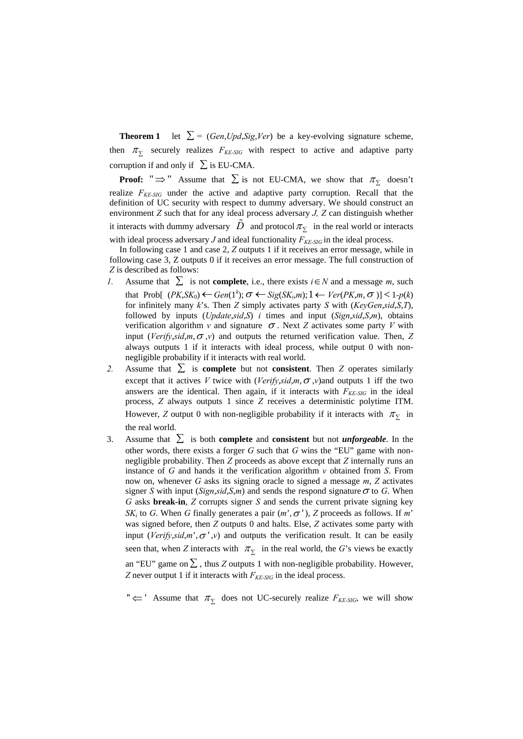**Theorem 1** let  $\Sigma = (Gen, Upd, Sig, Ver)$  be a key-evolving signature scheme, then  $\pi_{\overline{y}}$  securely realizes  $F_{KE-SIG}$  with respect to active and adaptive party corruption if and only if  $\sum$  is EU-CMA.

**Proof:** " $\Rightarrow$ " Assume that  $\sum$  is not EU-CMA, we show that  $\pi_{\sum}$  doesn't realize  $F_{KE-SIG}$  under the active and adaptive party corruption. Recall that the definition of UC security with respect to dummy adversary. We should construct an environment *Z* such that for any ideal process adversary *J, Z* can distinguish whether it interacts with dummy adversary  $\ddot{D}$  and protocol  $\pi_{\Sigma}$  in the real world or interacts with ideal process adversary  $J$  and ideal functionality  $F_{KE-SIG}$  in the ideal process.

In following case 1 and case 2, *Z* outputs 1 if it receives an error message, while in following case 3, Z outputs 0 if it receives an error message. The full construction of *Z* is described as follows:

- *1.* Assume that  $∑$  is not **complete**, i.e., there exists *i*∈*N* and a message *m*, such that Prob[  $(PK, SK_0) \leftarrow Gen(1^k); \sigma \leftarrow Sig(SK_i, m); 1 \leftarrow Ver(PK, m, \sigma)] < 1 - p(k)$ for infinitely many *k*'s. Then *Z* simply activates party *S* with (*KeyGen*,*sid*,*S*,*T*), followed by inputs (*Update*,*sid*,*S*) *i* times and input (*Sign*,*sid*,*S*,*m*), obtains verification algorithm *v* and signature  $\sigma$ . Next *Z* activates some party *V* with input (*Verify*, $sid, m, \sigma, v$ ) and outputs the returned verification value. Then, *Z* always outputs 1 if it interacts with ideal process, while output 0 with nonnegligible probability if it interacts with real world.
- 2. Assume that  $\sum$  is **complete** but not **consistent**. Then *Z* operates similarly except that it actives *V* twice with (*Verify*,*sid*,*m*,  $\sigma$ ,*v*) and outputs 1 iff the two answers are the identical. Then again, if it interacts with  $F_{KE-SIG}$  in the ideal process, *Z* always outputs 1 since *Z* receives a deterministic polytime ITM. However, *Z* output 0 with non-negligible probability if it interacts with  $\pi_{\Sigma}$  in the real world.
- 3. Assume that  $\sum$  is both **complete** and **consistent** but not *unforgeable*. In the other words, there exists a forger *G* such that *G* wins the "EU" game with nonnegligible probability. Then *Z* proceeds as above except that *Z* internally runs an instance of *G* and hands it the verification algorithm *v* obtained from *S*. From now on, whenever *G* asks its signing oracle to signed a message *m*, *Z* activates signer *S* with input (*Sign,sid,S,m*) and sends the respond signature  $\sigma$  to *G*. When *G* asks **break-in**, *Z* corrupts signer *S* and sends the current private signing key *SK<sub>i</sub>* to *G*. When *G* finally generates a pair  $(m', \sigma')$ , *Z* proceeds as follows. If *m*' was signed before, then *Z* outputs 0 and halts. Else, *Z* activates some party with input (*Verify*,*sid*,*m*', $\sigma'$ ,*v*) and outputs the verification result. It can be easily seen that, when *Z* interacts with  $\pi_{\overline{y}}$  in the real world, the *G*'s views be exactly an "EU" game on  $\Sigma$ , thus *Z* outputs 1 with non-negligible probability. However, *Z* never output 1 if it interacts with *F KE-SIG* in the ideal process.

 $"\leftarrow"$  Assume that  $\pi_{\overline{y}}$  does not UC-securely realize  $F_{KE-SIG}$ , we will show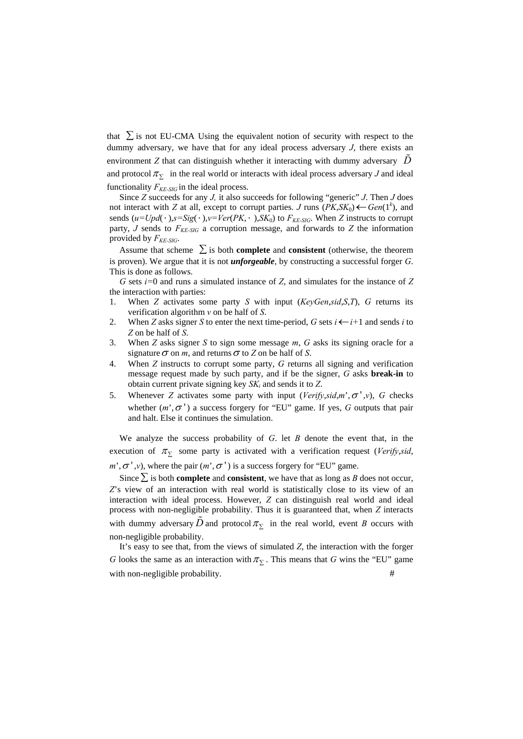that  $\Sigma$  is not EU-CMA Using the equivalent notion of security with respect to the dummy adversary, we have that for any ideal process adversary *J*, there exists an environment *Z* that can distinguish whether it interacting with dummy adversary  $\tilde{D}$ and protocol  $\pi_{\Sigma}$  in the real world or interacts with ideal process adversary *J* and ideal functionality  $F_{KE-SIG}$  in the ideal process.

Since *Z* succeeds for any *J,* it also succeeds for following "generic" *J*. Then *J* does not interact with *Z* at all, except to corrupt parties. *J* runs  $(PK, SK_0) \leftarrow Gen(1^k)$ , and sends  $(u=Upd(\cdot), s=Sig(\cdot), v=Ver(PK, \cdot), SK_0)$  to  $F_{KE-SIG}$ . When *Z* instructs to corrupt party,  $J$  sends to  $F_{KE-SIG}$  a corruption message, and forwards to  $Z$  the information provided by  $F_{KE-SIG}$ .

Assume that scheme  $\sum$  is both **complete** and **consistent** (otherwise, the theorem is proven). We argue that it is not *unforgeable*, by constructing a successful forger *G*. This is done as follows.

*G* sets *i=*0 and runs a simulated instance of *Z*, and simulates for the instance of *Z* the interaction with parties:

- 1. When *Z* activates some party *S* with input (*KeyGen*,*sid*,*S*,*T*), *G* returns its verification algorithm *v* on be half of *S*.
- 2. When *Z* asks signer *S* to enter the next time-period, *G* sets  $i \leftarrow i+1$  and sends *i* to *Z* on be half of *S*.
- 3. When *Z* asks signer *S* to sign some message *m*, *G* asks its signing oracle for a signature  $\sigma$  on *m*, and returns  $\sigma$  to *Z* on be half of *S*.
- 4. When *Z* instructs to corrupt some party, *G* returns all signing and verification message request made by such party, and if be the signer, *G* asks **break-in** to obtain current private signing key *SKi* and sends it to *Z*.
- 5. Whenever *Z* activates some party with input (*Verify*,*sid*,*m*',<sup>σ</sup> ' ,*v*), *G* checks whether  $(m', \sigma')$  a success forgery for "EU" game. If yes,  $G$  outputs that pair and halt. Else it continues the simulation.

We analyze the success probability of *G*. let *B* denote the event that, in the execution of  $\pi_{\Sigma}$  some party is activated with a verification request (*Verify,sid,*  $m$ <sup>'</sup>, $\sigma$ <sup>'</sup>, $v$ ), where the pair  $(m^{\prime}, \sigma^{\prime})$  is a success forgery for "EU" game.

Since  $\sum$  is both **complete** and **consistent**, we have that as long as *B* does not occur, *Z*'s view of an interaction with real world is statistically close to its view of an interaction with ideal process. However, *Z* can distinguish real world and ideal process with non-negligible probability. Thus it is guaranteed that, when *Z* interacts with dummy adversary  $\tilde{D}$  and protocol  $\pi_{\Sigma}$  in the real world, event *B* occurs with non-negligible probability.

It's easy to see that, from the views of simulated *Z*, the interaction with the forger *G* looks the same as an interaction with  $\pi$ <sub> $\bar{y}$ </sub>. This means that *G* wins the "EU" game with non-negligible probability.  $\#$